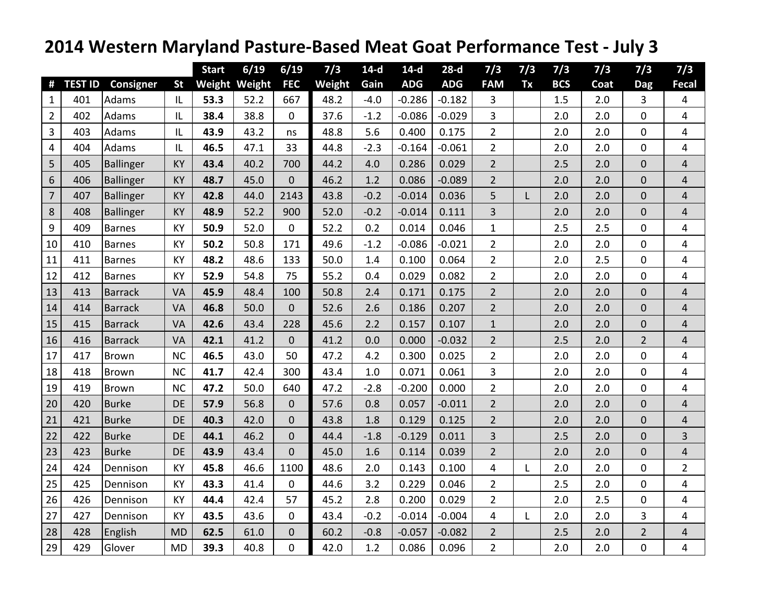## **2014 Western Maryland Pasture‐Based Meat Goat Performance Test ‐ July 3**

|                |                |                  |           | <b>Start</b>  | 6/19 | 6/19             | 7/3    | $14-d$ | $14-d$     | $28-d$     | 7/3            | 7/3 | 7/3        | 7/3  | 7/3              | 7/3            |
|----------------|----------------|------------------|-----------|---------------|------|------------------|--------|--------|------------|------------|----------------|-----|------------|------|------------------|----------------|
| #              | <b>TEST ID</b> | <b>Consigner</b> | <b>St</b> | Weight Weight |      | <b>FEC</b>       | Weight | Gain   | <b>ADG</b> | <b>ADG</b> | <b>FAM</b>     | Tx  | <b>BCS</b> | Coat | <b>Dag</b>       | <b>Fecal</b>   |
| $\mathbf{1}$   | 401            | Adams            | IL        | 53.3          | 52.2 | 667              | 48.2   | $-4.0$ | $-0.286$   | $-0.182$   | 3              |     | 1.5        | 2.0  | 3                | 4              |
| $\overline{2}$ | 402            | Adams            | IL        | 38.4          | 38.8 | 0                | 37.6   | $-1.2$ | $-0.086$   | $-0.029$   | 3              |     | 2.0        | 2.0  | 0                | 4              |
| 3              | 403            | Adams            | IL        | 43.9          | 43.2 | ns               | 48.8   | 5.6    | 0.400      | 0.175      | $\overline{2}$ |     | 2.0        | 2.0  | 0                | 4              |
| 4              | 404            | Adams            | IL        | 46.5          | 47.1 | 33               | 44.8   | $-2.3$ | $-0.164$   | $-0.061$   | $\overline{2}$ |     | 2.0        | 2.0  | 0                | 4              |
| 5              | 405            | <b>Ballinger</b> | KY        | 43.4          | 40.2 | 700              | 44.2   | 4.0    | 0.286      | 0.029      | $\overline{2}$ |     | 2.5        | 2.0  | 0                | 4              |
| 6              | 406            | Ballinger        | <b>KY</b> | 48.7          | 45.0 | $\mathbf 0$      | 46.2   | 1.2    | 0.086      | $-0.089$   | $\overline{2}$ |     | 2.0        | 2.0  | $\mathbf 0$      | $\overline{4}$ |
| $\overline{7}$ | 407            | <b>Ballinger</b> | KY        | 42.8          | 44.0 | 2143             | 43.8   | $-0.2$ | $-0.014$   | 0.036      | 5              | L   | 2.0        | 2.0  | 0                | $\sqrt{4}$     |
| 8              | 408            | <b>Ballinger</b> | KY        | 48.9          | 52.2 | 900              | 52.0   | $-0.2$ | $-0.014$   | 0.111      | $\overline{3}$ |     | 2.0        | 2.0  | $\boldsymbol{0}$ | $\overline{4}$ |
| 9              | 409            | Barnes           | KY        | 50.9          | 52.0 | 0                | 52.2   | 0.2    | 0.014      | 0.046      | $\mathbf{1}$   |     | 2.5        | 2.5  | $\mathbf 0$      | $\overline{4}$ |
| 10             | 410            | Barnes           | <b>KY</b> | 50.2          | 50.8 | 171              | 49.6   | $-1.2$ | $-0.086$   | $-0.021$   | $\overline{2}$ |     | 2.0        | 2.0  | $\pmb{0}$        | 4              |
| 11             | 411            | Barnes           | KY        | 48.2          | 48.6 | 133              | 50.0   | 1.4    | 0.100      | 0.064      | $\overline{2}$ |     | 2.0        | 2.5  | 0                | 4              |
| 12             | 412            | <b>Barnes</b>    | KY        | 52.9          | 54.8 | 75               | 55.2   | 0.4    | 0.029      | 0.082      | $\overline{2}$ |     | 2.0        | 2.0  | 0                | 4              |
| 13             | 413            | <b>Barrack</b>   | VA        | 45.9          | 48.4 | 100              | 50.8   | 2.4    | 0.171      | 0.175      | $\overline{2}$ |     | 2.0        | 2.0  | $\mathbf{0}$     | $\overline{4}$ |
| 14             | 414            | <b>Barrack</b>   | VA        | 46.8          | 50.0 | $\mathbf 0$      | 52.6   | 2.6    | 0.186      | 0.207      | $\overline{2}$ |     | 2.0        | 2.0  | 0                | 4              |
| 15             | 415            | <b>Barrack</b>   | VA        | 42.6          | 43.4 | 228              | 45.6   | 2.2    | 0.157      | 0.107      | $\mathbf{1}$   |     | 2.0        | 2.0  | $\mathbf 0$      | $\overline{4}$ |
| 16             | 416            | <b>Barrack</b>   | VA        | 42.1          | 41.2 | $\overline{0}$   | 41.2   | 0.0    | 0.000      | $-0.032$   | $\overline{2}$ |     | 2.5        | 2.0  | $\overline{2}$   | $\overline{4}$ |
| 17             | 417            | Brown            | <b>NC</b> | 46.5          | 43.0 | 50               | 47.2   | 4.2    | 0.300      | 0.025      | $\overline{2}$ |     | 2.0        | 2.0  | 0                | 4              |
| 18             | 418            | Brown            | <b>NC</b> | 41.7          | 42.4 | 300              | 43.4   | 1.0    | 0.071      | 0.061      | 3              |     | 2.0        | 2.0  | 0                | 4              |
| 19             | 419            | Brown            | <b>NC</b> | 47.2          | 50.0 | 640              | 47.2   | $-2.8$ | $-0.200$   | 0.000      | $\overline{2}$ |     | 2.0        | 2.0  | 0                | 4              |
| 20             | 420            | Burke            | <b>DE</b> | 57.9          | 56.8 | $\overline{0}$   | 57.6   | 0.8    | 0.057      | $-0.011$   | $\overline{2}$ |     | 2.0        | 2.0  | 0                | $\overline{4}$ |
| 21             | 421            | <b>Burke</b>     | <b>DE</b> | 40.3          | 42.0 | $\boldsymbol{0}$ | 43.8   | 1.8    | 0.129      | 0.125      | $\overline{2}$ |     | 2.0        | 2.0  | 0                | $\sqrt{4}$     |
| 22             | 422            | <b>Burke</b>     | <b>DE</b> | 44.1          | 46.2 | $\pmb{0}$        | 44.4   | $-1.8$ | $-0.129$   | 0.011      | $\overline{3}$ |     | 2.5        | 2.0  | $\mathbf 0$      | 3              |
| 23             | 423            | <b>Burke</b>     | DE        | 43.9          | 43.4 | $\overline{0}$   | 45.0   | 1.6    | 0.114      | 0.039      | $\overline{2}$ |     | 2.0        | 2.0  | $\boldsymbol{0}$ | $\overline{4}$ |
| 24             | 424            | Dennison         | KY        | 45.8          | 46.6 | 1100             | 48.6   | 2.0    | 0.143      | 0.100      | $\overline{4}$ | L   | 2.0        | 2.0  | $\mathbf 0$      | $\overline{2}$ |
| 25             | 425            | Dennison         | <b>KY</b> | 43.3          | 41.4 | 0                | 44.6   | 3.2    | 0.229      | 0.046      | $\overline{2}$ |     | 2.5        | 2.0  | $\mathbf 0$      | 4              |
| 26             | 426            | Dennison         | KY        | 44.4          | 42.4 | 57               | 45.2   | 2.8    | 0.200      | 0.029      | $\overline{2}$ |     | 2.0        | 2.5  | 0                | 4              |
| 27             | 427            | Dennison         | KY        | 43.5          | 43.6 | 0                | 43.4   | $-0.2$ | $-0.014$   | $-0.004$   | 4              | L   | 2.0        | 2.0  | 3                | 4              |
| 28             | 428            | English          | <b>MD</b> | 62.5          | 61.0 | $\mathbf 0$      | 60.2   | $-0.8$ | $-0.057$   | $-0.082$   | $\overline{2}$ |     | 2.5        | 2.0  | $\overline{2}$   | $\sqrt{4}$     |
| 29             | 429            | Glover           | <b>MD</b> | 39.3          | 40.8 | $\boldsymbol{0}$ | 42.0   | 1.2    | 0.086      | 0.096      | $\overline{2}$ |     | 2.0        | 2.0  | 0                | 4              |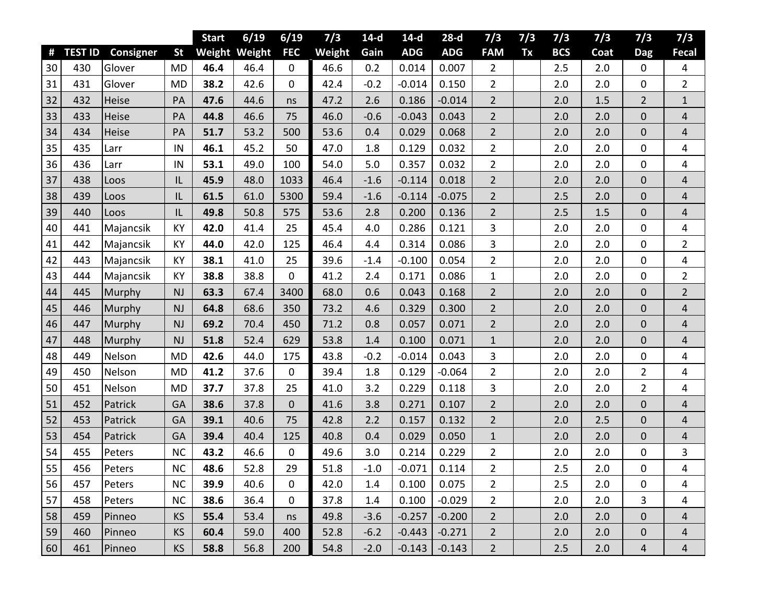|    |                |                  |           | <b>Start</b> | 6/19          | 6/19             | 7/3    | $14-d$ | $14-d$     | $28-d$     | 7/3            | 7/3 | 7/3        | 7/3  | 7/3            | 7/3                     |
|----|----------------|------------------|-----------|--------------|---------------|------------------|--------|--------|------------|------------|----------------|-----|------------|------|----------------|-------------------------|
| #  | <b>TEST ID</b> | <b>Consigner</b> | <b>St</b> |              | Weight Weight | <b>FEC</b>       | Weight | Gain   | <b>ADG</b> | <b>ADG</b> | <b>FAM</b>     | Tx  | <b>BCS</b> | Coat | <b>Dag</b>     | <b>Fecal</b>            |
| 30 | 430            | Glover           | <b>MD</b> | 46.4         | 46.4          | $\mathbf 0$      | 46.6   | 0.2    | 0.014      | 0.007      | 2              |     | 2.5        | 2.0  | 0              | 4                       |
| 31 | 431            | Glover           | <b>MD</b> | 38.2         | 42.6          | $\mathbf 0$      | 42.4   | $-0.2$ | $-0.014$   | 0.150      | $\overline{2}$ |     | 2.0        | 2.0  | 0              | $\overline{2}$          |
| 32 | 432            | Heise            | PA        | 47.6         | 44.6          | ns               | 47.2   | 2.6    | 0.186      | $-0.014$   | $\overline{2}$ |     | 2.0        | 1.5  | $\overline{2}$ | $1\,$                   |
| 33 | 433            | Heise            | PA        | 44.8         | 46.6          | 75               | 46.0   | $-0.6$ | $-0.043$   | 0.043      | $\overline{2}$ |     | 2.0        | 2.0  | 0              | 4                       |
| 34 | 434            | Heise            | PA        | 51.7         | 53.2          | 500              | 53.6   | 0.4    | 0.029      | 0.068      | $\overline{2}$ |     | 2.0        | 2.0  | 0              | $\overline{\mathbf{r}}$ |
| 35 | 435            | Larr             | IN        | 46.1         | 45.2          | 50               | 47.0   | 1.8    | 0.129      | 0.032      | $\overline{2}$ |     | 2.0        | 2.0  | 0              | 4                       |
| 36 | 436            | Larr             | IN        | 53.1         | 49.0          | 100              | 54.0   | 5.0    | 0.357      | 0.032      | $\overline{2}$ |     | 2.0        | 2.0  | 0              | 4                       |
| 37 | 438            | Loos             | IL        | 45.9         | 48.0          | 1033             | 46.4   | $-1.6$ | $-0.114$   | 0.018      | $\overline{2}$ |     | 2.0        | 2.0  | 0              | 4                       |
| 38 | 439            | Loos             | IL        | 61.5         | 61.0          | 5300             | 59.4   | $-1.6$ | $-0.114$   | $-0.075$   | $\overline{2}$ |     | 2.5        | 2.0  | 0              | $\overline{4}$          |
| 39 | 440            | Loos             | IL        | 49.8         | 50.8          | 575              | 53.6   | 2.8    | 0.200      | 0.136      | $\overline{2}$ |     | 2.5        | 1.5  | 0              | 4                       |
| 40 | 441            | Majancsik        | KY        | 42.0         | 41.4          | 25               | 45.4   | 4.0    | 0.286      | 0.121      | 3              |     | 2.0        | 2.0  | 0              | 4                       |
| 41 | 442            | Majancsik        | KY        | 44.0         | 42.0          | 125              | 46.4   | 4.4    | 0.314      | 0.086      | 3              |     | 2.0        | 2.0  | 0              | $\overline{2}$          |
| 42 | 443            | Majancsik        | KY        | 38.1         | 41.0          | 25               | 39.6   | $-1.4$ | $-0.100$   | 0.054      | $\overline{2}$ |     | 2.0        | 2.0  | 0              | 4                       |
| 43 | 444            | Majancsik        | KY        | 38.8         | 38.8          | $\mathbf 0$      | 41.2   | 2.4    | 0.171      | 0.086      | $\mathbf{1}$   |     | 2.0        | 2.0  | 0              | $\overline{2}$          |
| 44 | 445            | Murphy           | NJ        | 63.3         | 67.4          | 3400             | 68.0   | 0.6    | 0.043      | 0.168      | $\overline{2}$ |     | 2.0        | 2.0  | 0              | $\overline{2}$          |
| 45 | 446            | Murphy           | NJ        | 64.8         | 68.6          | 350              | 73.2   | 4.6    | 0.329      | 0.300      | $\overline{2}$ |     | 2.0        | 2.0  | 0              | $\overline{4}$          |
| 46 | 447            | Murphy           | NJ        | 69.2         | 70.4          | 450              | 71.2   | 0.8    | 0.057      | 0.071      | $\overline{2}$ |     | 2.0        | 2.0  | 0              | $\overline{4}$          |
| 47 | 448            | Murphy           | NJ        | 51.8         | 52.4          | 629              | 53.8   | 1.4    | 0.100      | 0.071      | $\mathbf{1}$   |     | 2.0        | 2.0  | 0              | 4                       |
| 48 | 449            | Nelson           | <b>MD</b> | 42.6         | 44.0          | 175              | 43.8   | $-0.2$ | $-0.014$   | 0.043      | 3              |     | 2.0        | 2.0  | 0              | 4                       |
| 49 | 450            | Nelson           | <b>MD</b> | 41.2         | 37.6          | 0                | 39.4   | 1.8    | 0.129      | $-0.064$   | $\overline{2}$ |     | 2.0        | 2.0  | $\overline{2}$ | 4                       |
| 50 | 451            | Nelson           | <b>MD</b> | 37.7         | 37.8          | 25               | 41.0   | 3.2    | 0.229      | 0.118      | 3              |     | 2.0        | 2.0  | $\overline{2}$ | 4                       |
| 51 | 452            | Patrick          | GA        | 38.6         | 37.8          | $\boldsymbol{0}$ | 41.6   | 3.8    | 0.271      | 0.107      | $\overline{2}$ |     | 2.0        | 2.0  | 0              | $\overline{4}$          |
| 52 | 453            | Patrick          | GA        | 39.1         | 40.6          | 75               | 42.8   | 2.2    | 0.157      | 0.132      | $\overline{2}$ |     | 2.0        | 2.5  | 0              | $\overline{4}$          |
| 53 | 454            | Patrick          | GA        | 39.4         | 40.4          | 125              | 40.8   | 0.4    | 0.029      | 0.050      | $\mathbf{1}$   |     | 2.0        | 2.0  | 0              | 4                       |
| 54 | 455            | Peters           | <b>NC</b> | 43.2         | 46.6          | 0                | 49.6   | 3.0    | 0.214      | 0.229      | $\overline{2}$ |     | 2.0        | 2.0  | 0              | 3                       |
| 55 | 456            | Peters           | <b>NC</b> | 48.6         | 52.8          | 29               | 51.8   | $-1.0$ | $-0.071$   | 0.114      | $\overline{2}$ |     | 2.5        | 2.0  | 0              | 4                       |
| 56 | 457            | Peters           | <b>NC</b> | 39.9         | 40.6          | $\mathbf 0$      | 42.0   | 1.4    | 0.100      | 0.075      | $\overline{2}$ |     | 2.5        | 2.0  | 0              | 4                       |
| 57 | 458            | Peters           | <b>NC</b> | 38.6         | 36.4          | $\mathbf 0$      | 37.8   | 1.4    | 0.100      | $-0.029$   | $\overline{2}$ |     | 2.0        | 2.0  | 3              | 4                       |
| 58 | 459            | Pinneo           | KS        | 55.4         | 53.4          | ns               | 49.8   | $-3.6$ | $-0.257$   | $-0.200$   | $2^{\circ}$    |     | 2.0        | 2.0  | 0              | 4                       |
| 59 | 460            | Pinneo           | <b>KS</b> | 60.4         | 59.0          | 400              | 52.8   | $-6.2$ | $-0.443$   | $-0.271$   | $2^{\circ}$    |     | 2.0        | 2.0  | 0              | $\overline{4}$          |
| 60 | 461            | Pinneo           | KS        | 58.8         | 56.8          | 200              | 54.8   | $-2.0$ | $-0.143$   | $-0.143$   | $\overline{2}$ |     | 2.5        | 2.0  | 4              | 4                       |